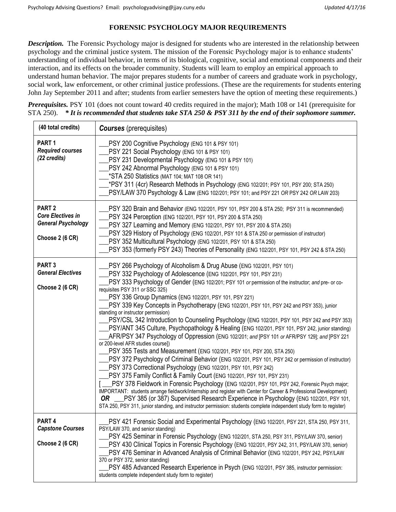## **FORENSIC PSYCHOLOGY MAJOR REQUIREMENTS**

*Description.* The Forensic Psychology major is designed for students who are interested in the relationship between psychology and the criminal justice system. The mission of the Forensic Psychology major is to enhance students' understanding of individual behavior, in terms of its biological, cognitive, social and emotional components and their interaction, and its effects on the broader community. Students will learn to employ an empirical approach to understand human behavior. The major prepares students for a number of careers and graduate work in psychology, social work, law enforcement, or other criminal justice professions. (These are the requirements for students entering John Jay September 2011 and after; students from earlier semesters have the option of meeting these requirements.)

*Prerequisites.* PSY 101 (does not count toward 40 credits required in the major); Math 108 or 141 (prerequisite for STA 250). *\* It is recommended that students take STA 250 & PSY 311 by the end of their sophomore summer.*

| (40 total credits)                                                                            | <b>Courses</b> (prerequisites)                                                                                                                                                                                                                                                                                                                                                                                                                                                                                                                                                                                                                                                                                                                                                                                                                                                                                                                                                                                                                                                                                                                                                                                                                                                                                                                                                                                                                                                                                                                                                                      |  |  |
|-----------------------------------------------------------------------------------------------|-----------------------------------------------------------------------------------------------------------------------------------------------------------------------------------------------------------------------------------------------------------------------------------------------------------------------------------------------------------------------------------------------------------------------------------------------------------------------------------------------------------------------------------------------------------------------------------------------------------------------------------------------------------------------------------------------------------------------------------------------------------------------------------------------------------------------------------------------------------------------------------------------------------------------------------------------------------------------------------------------------------------------------------------------------------------------------------------------------------------------------------------------------------------------------------------------------------------------------------------------------------------------------------------------------------------------------------------------------------------------------------------------------------------------------------------------------------------------------------------------------------------------------------------------------------------------------------------------------|--|--|
| PART <sub>1</sub><br><b>Required courses</b><br>(22 credits)                                  | PSY 200 Cognitive Psychology (ENG 101 & PSY 101)<br>PSY 221 Social Psychology (ENG 101 & PSY 101)<br>PSY 231 Developmental Psychology (ENG 101 & PSY 101)<br>PSY 242 Abnormal Psychology (ENG 101 & PSY 101)<br>*STA 250 Statistics (MAT 104; MAT 108 OR 141)<br>*PSY 311 (4cr) Research Methods in Psychology (ENG 102/201; PSY 101, PSY 200; STA 250)<br>PSY/LAW 370 Psychology & Law (ENG 102/201; PSY 101; and PSY 221 OR PSY 242 OR LAW 203)                                                                                                                                                                                                                                                                                                                                                                                                                                                                                                                                                                                                                                                                                                                                                                                                                                                                                                                                                                                                                                                                                                                                                   |  |  |
| PART <sub>2</sub><br><b>Core Electives in</b><br><b>General Psychology</b><br>Choose 2 (6 CR) | PSY 320 Brain and Behavior (ENG 102/201, PSY 101, PSY 200 & STA 250; PSY 311 is recommended)<br>PSY 324 Perception (ENG 102/201, PSY 101, PSY 200 & STA 250)<br>PSY 327 Learning and Memory (ENG 102/201, PSY 101, PSY 200 & STA 250)<br>PSY 329 History of Psychology (ENG 102/201, PSY 101 & STA 250 or permission of instructor)<br>PSY 352 Multicultural Psychology (ENG 102/201, PSY 101 & STA 250)<br>PSY 353 (formerly PSY 243) Theories of Personality (ENG 102/201, PSY 101, PSY 242 & STA 250)                                                                                                                                                                                                                                                                                                                                                                                                                                                                                                                                                                                                                                                                                                                                                                                                                                                                                                                                                                                                                                                                                            |  |  |
| PART <sub>3</sub><br><b>General Electives</b><br>Choose 2 (6 CR)                              | PSY 266 Psychology of Alcoholism & Drug Abuse (ENG 102/201, PSY 101)<br>PSY 332 Psychology of Adolescence (ENG 102/201, PSY 101, PSY 231)<br>PSY 333 Psychology of Gender (ENG 102/201; PSY 101 or permission of the instructor; and pre- or co-<br>requisites PSY 311 or SSC 325)<br>PSY 336 Group Dynamics (ENG 102/201, PSY 101, PSY 221)<br>PSY 339 Key Concepts in Psychotherapy (ENG 102/201, PSY 101, PSY 242 and PSY 353), junior<br>standing or instructor permission)<br>PSY/CSL 342 Introduction to Counseling Psychology (ENG 102/201, PSY 101, PSY 242 and PSY 353)<br>PSY/ANT 345 Culture, Psychopathology & Healing (ENG 102/201, PSY 101, PSY 242, junior standing)<br>AFR/PSY 347 Psychology of Oppression (ENG 102/201; and [PSY 101 or AFR/PSY 129]; and [PSY 221<br>or 200-level AFR studies course])<br>PSY 355 Tests and Measurement (ENG 102/201, PSY 101, PSY 200, STA 250)<br>PSY 372 Psychology of Criminal Behavior (ENG 102/201, PSY 101, PSY 242 or permission of instructor)<br>PSY 373 Correctional Psychology (ENG 102/201, PSY 101, PSY 242)<br>PSY 375 Family Conflict & Family Court (ENG 102/201, PSY 101, PSY 231)<br>PSY 378 Fieldwork in Forensic Psychology (ENG 102/201, PSY 101, PSY 242, Forensic Psych major;<br>IMPORTANT: students arrange fieldwork/internship and register with Center for Career & Professional Development)<br>PSY 385 (or 387) Supervised Research Experience in Psychology (ENG 102/201, PSY 101,<br>OR.<br>STA 250, PSY 311, junior standing, and instructor permission: students complete independent study form to register) |  |  |
| PART <sub>4</sub><br><b>Capstone Courses</b><br>Choose 2 (6 CR)                               | PSY 421 Forensic Social and Experimental Psychology (ENG 102/201, PSY 221, STA 250, PSY 311,<br>PSY/LAW 370, and senior standing)<br>PSY 425 Seminar in Forensic Psychology (ENG 102/201, STA 250, PSY 311, PSY/LAW 370, senior)<br>PSY 430 Clinical Topics in Forensic Psychology (ENG 102/201, PSY 242, 311, PSY/LAW 370, senior)<br>PSY 476 Seminar in Advanced Analysis of Criminal Behavior (ENG 102/201, PSY 242, PSY/LAW<br>370 or PSY 372, senior standing)<br>PSY 485 Advanced Research Experience in Psych (ENG 102/201, PSY 385, instructor permission:<br>students complete independent study form to register)                                                                                                                                                                                                                                                                                                                                                                                                                                                                                                                                                                                                                                                                                                                                                                                                                                                                                                                                                                         |  |  |